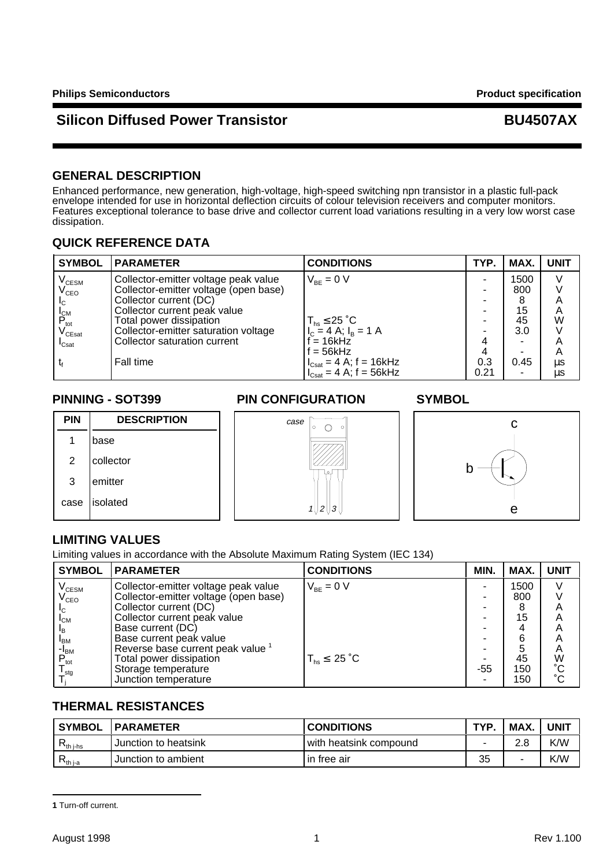## **Silicon Diffused Power Transistor Access 2008 2009 BU4507AX**

### **GENERAL DESCRIPTION**

Enhanced performance, new generation, high-voltage, high-speed switching npn transistor in a plastic full-pack envelope intended for use in horizontal deflection circuits of colour television receivers and computer monitors. Features exceptional tolerance to base drive and collector current load variations resulting in a very low worst case dissipation.

### **QUICK REFERENCE DATA**

| <b>SYMBOL</b>                                                  | <b>PARAMETER</b>                      | <b>CONDITIONS</b>                                   | TYP. | MAX.                     | <b>UNIT</b> |
|----------------------------------------------------------------|---------------------------------------|-----------------------------------------------------|------|--------------------------|-------------|
| $\mathsf{V}_{\text{\tiny{CESM}}}$                              | Collector-emitter voltage peak value  | $V_{BF} = 0 V$                                      |      | 1500                     | V           |
| $\mathsf{V}_{\mathsf{CEO}}$                                    | Collector-emitter voltage (open base) |                                                     |      | 800                      |             |
| I <sub>C</sub>                                                 | Collector current (DC)                |                                                     |      | 8                        | Α           |
|                                                                | Collector current peak value          |                                                     |      | 15                       | A           |
| $\begin{bmatrix} I_{CM} \\ P_{tot} \\ V_{CEsat} \end{bmatrix}$ | Total power dissipation               | $T_{hs} \leq 25$ °C                                 |      | 45                       | W           |
|                                                                | Collector-emitter saturation voltage  | $I_c = 4 A; I_B = 1 A$                              |      | 3.0                      |             |
| $\mathsf{I}_{\mathsf{Csat}}$                                   | Collector saturation current          | $= 16$ kHz                                          |      | $\overline{\phantom{0}}$ | A           |
|                                                                |                                       | $f = 56kHz$                                         |      | ۰                        | A           |
|                                                                | Fall time                             | $I_{\text{Cast}} = 4$ A; f = 16kHz                  | 0.3  | 0.45                     | $\mu s$     |
|                                                                |                                       | $I_{\text{Cast}} = 4 \text{ A}; f = 56 \text{ kHz}$ | 0.21 | -                        | μs          |

1 base

2 collector

3 emitter

case | isolated

**PIN DESCRIPTION**

### **PINNING - SOT399 PIN CONFIGURATION SYMBOL**

case



## **LIMITING VALUES**

Limiting values in accordance with the Absolute Maximum Rating System (IEC 134)

| <b>SYMBOL</b>                     | <b>PARAMETER</b>                             | <b>CONDITIONS</b>     | MIN. | MAX. | <b>UNIT</b>     |
|-----------------------------------|----------------------------------------------|-----------------------|------|------|-----------------|
| $\mathsf{V}_{\text{\tiny{CESM}}}$ | Collector-emitter voltage peak value         | $V_{BF} = 0 V$        |      | 1500 |                 |
| $\rm V_{ceO}$                     | Collector-emitter voltage (open base)        |                       |      | 800  |                 |
| Iс                                | Collector current (DC)                       |                       |      |      | A               |
| $I_{CM}$                          | Collector current peak value                 |                       |      | 15   | Α               |
| <sup>I</sup> B                    | Base current (DC)                            |                       |      |      |                 |
| <sup>I</sup> BM                   | Base current peak value                      |                       |      | 6    | A               |
| -I <sub>BM</sub>                  | Reverse base current peak value <sup>1</sup> |                       |      | 5    | Α               |
| $P_{\text{tot}}$                  | Total power dissipation                      | $T_{hs}$ $\leq$ 25 °C |      | 45   | W               |
| $\mathsf{I}_{\text{stg}}$         | Storage temperature                          |                       | -55  | 150  | $^{\circ}C$     |
|                                   | Junction temperature                         |                       |      | 150  | $\rm ^{\circ}C$ |

11213

 $\circ$ 

### **THERMAL RESISTANCES**

| <b>SYMBOL</b>                   | <b>PARAMETER</b>     | <b>CONDITIONS</b>        | <b>TYP</b> | MAX. | <b>UNIT</b> |
|---------------------------------|----------------------|--------------------------|------------|------|-------------|
| $\mathsf{r}_{\mathsf{th}}$ j-hs | Junction to heatsink | i with heatsink compound |            | າ ໑  | K/W         |
| $\mathsf{r}_{\mathsf{th}}$ j-a  | Junction to ambient  | in free air              | 35         | -    | K/W         |

**<sup>1</sup>** Turn-off current.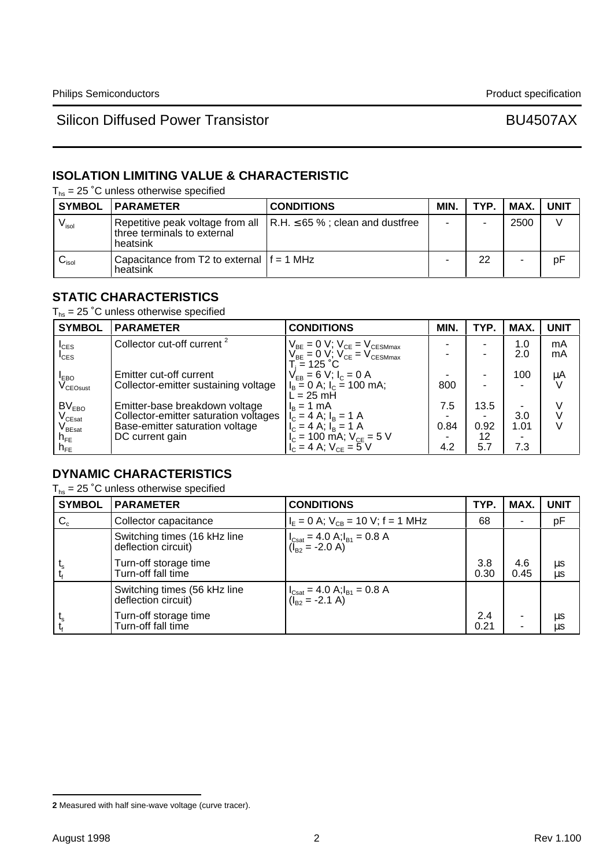## **ISOLATION LIMITING VALUE & CHARACTERISTIC**

 $T_{hs}$  = 25 °C unless otherwise specified

|                            | <b>SYMBOL   PARAMETER</b>                                | <b>CONDITIONS</b>                                                             | MIN. | TYP. | MAX. I | <b>UNIT</b> |
|----------------------------|----------------------------------------------------------|-------------------------------------------------------------------------------|------|------|--------|-------------|
| $V_{\sf isol}$             | three terminals to external<br>heatsink                  | Repetitive peak voltage from all $\vert$ R.H. $\leq$ 65 %; clean and dustfree |      |      | 2500   |             |
| $\mathsf{v}_\mathsf{isol}$ | Capacitance from T2 to external $ f = 1$ MHz<br>heatsink |                                                                               |      | 22   |        | рF          |

### **STATIC CHARACTERISTICS**

 $T_{hs}$  = 25 °C unless otherwise specified

| <b>SYMBOL</b>                          | <b>PARAMETER</b>                       | <b>CONDITIONS</b>                                                                  | MIN. | TYP. | MAX. | <b>UNIT</b> |
|----------------------------------------|----------------------------------------|------------------------------------------------------------------------------------|------|------|------|-------------|
| $I_{CES}$                              | Collector cut-off current <sup>2</sup> | $V_{BE} = 0 V$ ; $V_{CE} = V_{CESMmax}$<br>$V_{BE} = 0 V$ ; $V_{CE} = V_{CESMmax}$ |      |      | 1.0  | mA          |
| $I_{\text{CES}}$                       |                                        |                                                                                    |      |      | 2.0  | mA          |
| <b>IEBO</b>                            | Emitter cut-off current                | T. = 125 °C.<br>$V_{FB} = 6 V$ ; $I_c = 0 A$                                       |      |      | 100  | μA          |
| V <sub>CEOsust</sub>                   | Collector-emitter sustaining voltage   | $I_B = 0$ A; $I_C = 100$ mA;                                                       | 800  |      |      |             |
|                                        |                                        | $\overline{L}$ = 25 mH                                                             |      |      |      |             |
| BV <sub>EBO</sub>                      | Emitter-base breakdown voltage         | $I_B = 1$ mA                                                                       | 7.5  | 13.5 |      |             |
| $V_{CEsat}$                            | Collector-emitter saturation voltages  | $I_c = 4$ A; $I_B = 1$ A                                                           |      |      | 3.0  |             |
| $\mathsf{V}_{\mathsf{B}\mathsf{East}}$ | Base-emitter saturation voltage        | $I_c = 4$ A; $I_B = 1$ A                                                           | 0.84 | 0.92 | 1.01 | $\vee$      |
| $n_{FE}$                               | DC current gain                        | $I_c = 100$ mA; $V_{ce} = 5$ V                                                     |      | 12   |      |             |
| $h_{FE}$                               |                                        | $V_c = 4$ A; $V_{ce} = 5$ V                                                        | 4.2  | 5.7  | 7.3  |             |

## **DYNAMIC CHARACTERISTICS**

 $T_{hs}$  = 25 °C unless otherwise specified

| <b>SYMBOL</b> | <b>PARAMETER</b>                                    | <b>CONDITIONS</b>                                                                                                              | TYP.        | MAX.        | <b>UNIT</b> |
|---------------|-----------------------------------------------------|--------------------------------------------------------------------------------------------------------------------------------|-------------|-------------|-------------|
| $C_c$         | Collector capacitance                               | $I_F = 0$ A; $V_{CB} = 10$ V; f = 1 MHz                                                                                        | 68          |             | pF          |
|               | Switching times (16 kHz line<br>deflection circuit) | $\begin{cases} I_{\text{Csat}} = 4.0 \text{ A}; I_{\text{B1}} = 0.8 \text{ A} \\ (I_{\text{B2}} = -2.0 \text{ A}) \end{cases}$ |             |             |             |
|               | Turn-off storage time<br>Turn-off fall time         |                                                                                                                                | 3.8<br>0.30 | 4.6<br>0.45 | μs<br>μs    |
|               | Switching times (56 kHz line<br>deflection circuit) | $\begin{cases} I_{\text{Csat}} = 4.0 \text{ A}; I_{\text{B1}} = 0.8 \text{ A} \\ (I_{\text{B2}} = -2.1 \text{ A}) \end{cases}$ |             |             |             |
|               | Turn-off storage time<br>Turn-off fall time         |                                                                                                                                | 2.4<br>0.21 | ۰<br>۰      | μs<br>μs    |

**<sup>2</sup>** Measured with half sine-wave voltage (curve tracer).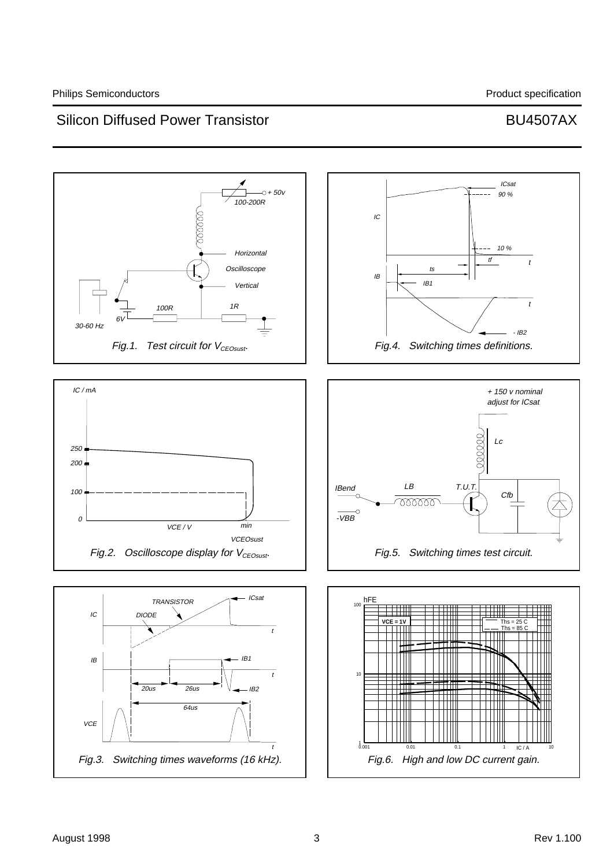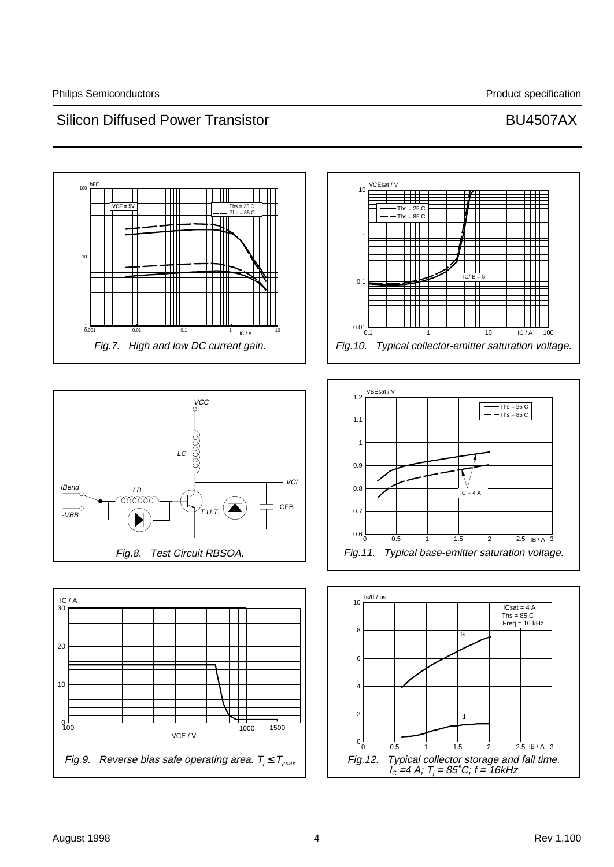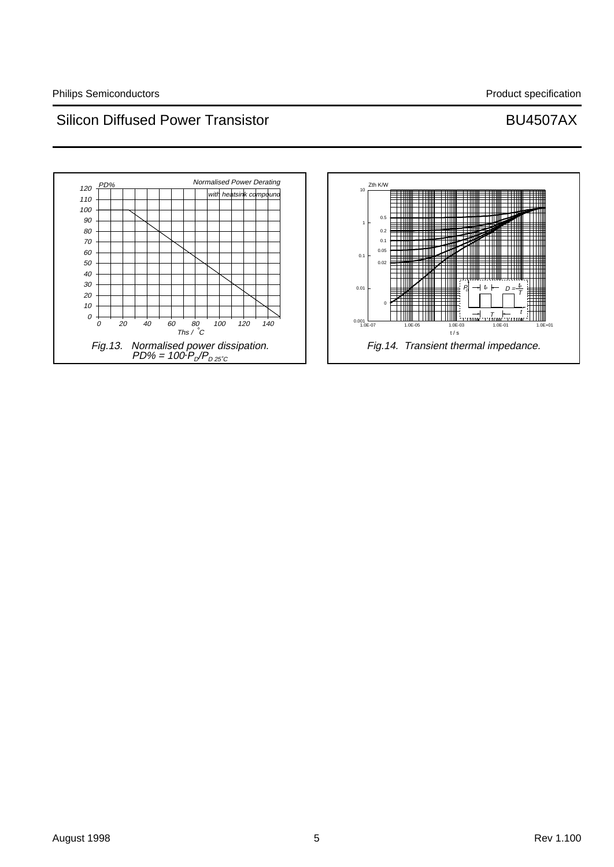

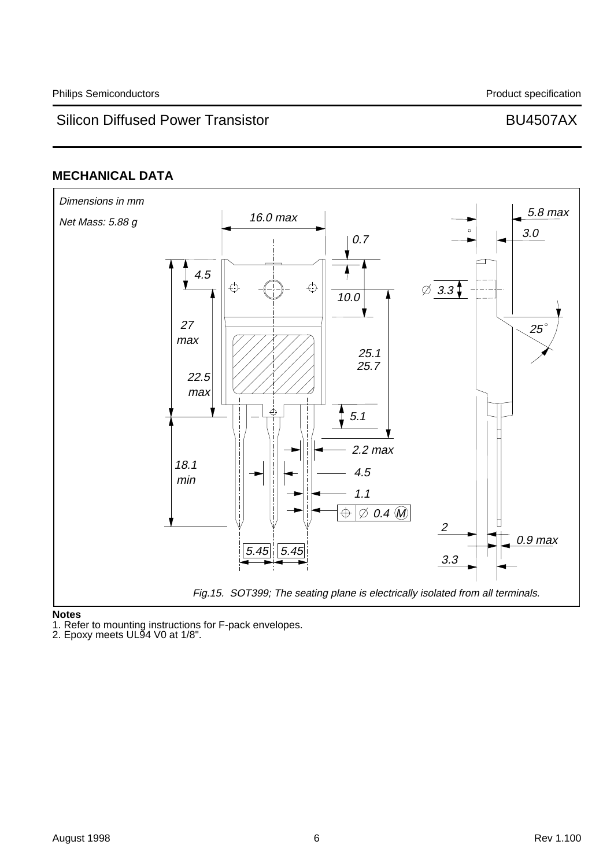### **MECHANICAL DATA**



**Notes**

1. Refer to mounting instructions for F-pack envelopes.

2. Epoxy meets UL94 V0 at 1/8".